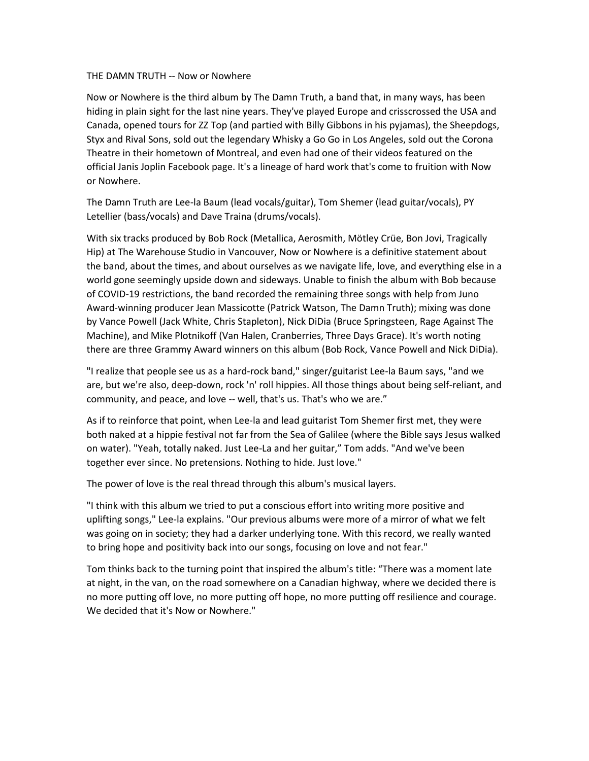## THE DAMN TRUTH -- Now or Nowhere

Now or Nowhere is the third album by The Damn Truth, a band that, in many ways, has been hiding in plain sight for the last nine years. They've played Europe and crisscrossed the USA and Canada, opened tours for ZZ Top (and partied with Billy Gibbons in his pyjamas), the Sheepdogs, Styx and Rival Sons, sold out the legendary Whisky a Go Go in Los Angeles, sold out the Corona Theatre in their hometown of Montreal, and even had one of their videos featured on the official Janis Joplin Facebook page. It's a lineage of hard work that's come to fruition with Now or Nowhere.

The Damn Truth are Lee-la Baum (lead vocals/guitar), Tom Shemer (lead guitar/vocals), PY Letellier (bass/vocals) and Dave Traina (drums/vocals).

With six tracks produced by Bob Rock (Metallica, Aerosmith, Mötley Crüe, Bon Jovi, Tragically Hip) at The Warehouse Studio in Vancouver, Now or Nowhere is a definitive statement about the band, about the times, and about ourselves as we navigate life, love, and everything else in a world gone seemingly upside down and sideways. Unable to finish the album with Bob because of COVID-19 restrictions, the band recorded the remaining three songs with help from Juno Award-winning producer Jean Massicotte (Patrick Watson, The Damn Truth); mixing was done by Vance Powell (Jack White, Chris Stapleton), Nick DiDia (Bruce Springsteen, Rage Against The Machine), and Mike Plotnikoff (Van Halen, Cranberries, Three Days Grace). It's worth noting there are three Grammy Award winners on this album (Bob Rock, Vance Powell and Nick DiDia).

"I realize that people see us as a hard-rock band," singer/guitarist Lee-la Baum says, "and we are, but we're also, deep-down, rock 'n' roll hippies. All those things about being self-reliant, and community, and peace, and love -- well, that's us. That's who we are."

As if to reinforce that point, when Lee-la and lead guitarist Tom Shemer first met, they were both naked at a hippie festival not far from the Sea of Galilee (where the Bible says Jesus walked on water). "Yeah, totally naked. Just Lee-La and her guitar," Tom adds. "And we've been together ever since. No pretensions. Nothing to hide. Just love."

The power of love is the real thread through this album's musical layers.

"I think with this album we tried to put a conscious effort into writing more positive and uplifting songs," Lee-la explains. "Our previous albums were more of a mirror of what we felt was going on in society; they had a darker underlying tone. With this record, we really wanted to bring hope and positivity back into our songs, focusing on love and not fear."

Tom thinks back to the turning point that inspired the album's title: "There was a moment late at night, in the van, on the road somewhere on a Canadian highway, where we decided there is no more putting off love, no more putting off hope, no more putting off resilience and courage. We decided that it's Now or Nowhere."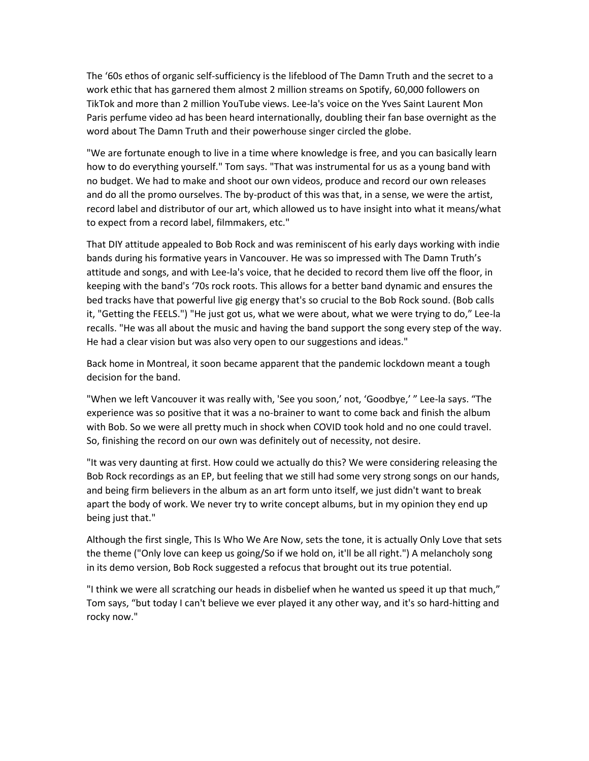The '60s ethos of organic self-sufficiency is the lifeblood of The Damn Truth and the secret to a work ethic that has garnered them almost 2 million streams on Spotify, 60,000 followers on TikTok and more than 2 million YouTube views. Lee-la's voice on the Yves Saint Laurent Mon Paris perfume video ad has been heard internationally, doubling their fan base overnight as the word about The Damn Truth and their powerhouse singer circled the globe.

"We are fortunate enough to live in a time where knowledge is free, and you can basically learn how to do everything yourself." Tom says. "That was instrumental for us as a young band with no budget. We had to make and shoot our own videos, produce and record our own releases and do all the promo ourselves. The by-product of this was that, in a sense, we were the artist, record label and distributor of our art, which allowed us to have insight into what it means/what to expect from a record label, filmmakers, etc."

That DIY attitude appealed to Bob Rock and was reminiscent of his early days working with indie bands during his formative years in Vancouver. He was so impressed with The Damn Truth's attitude and songs, and with Lee-la's voice, that he decided to record them live off the floor, in keeping with the band's '70s rock roots. This allows for a better band dynamic and ensures the bed tracks have that powerful live gig energy that's so crucial to the Bob Rock sound. (Bob calls it, "Getting the FEELS.") "He just got us, what we were about, what we were trying to do," Lee-la recalls. "He was all about the music and having the band support the song every step of the way. He had a clear vision but was also very open to our suggestions and ideas."

Back home in Montreal, it soon became apparent that the pandemic lockdown meant a tough decision for the band.

"When we left Vancouver it was really with, 'See you soon,' not, 'Goodbye,' " Lee-la says. "The experience was so positive that it was a no-brainer to want to come back and finish the album with Bob. So we were all pretty much in shock when COVID took hold and no one could travel. So, finishing the record on our own was definitely out of necessity, not desire.

"It was very daunting at first. How could we actually do this? We were considering releasing the Bob Rock recordings as an EP, but feeling that we still had some very strong songs on our hands, and being firm believers in the album as an art form unto itself, we just didn't want to break apart the body of work. We never try to write concept albums, but in my opinion they end up being just that."

Although the first single, This Is Who We Are Now, sets the tone, it is actually Only Love that sets the theme ("Only love can keep us going/So if we hold on, it'll be all right.") A melancholy song in its demo version, Bob Rock suggested a refocus that brought out its true potential.

"I think we were all scratching our heads in disbelief when he wanted us speed it up that much," Tom says, "but today I can't believe we ever played it any other way, and it's so hard-hitting and rocky now."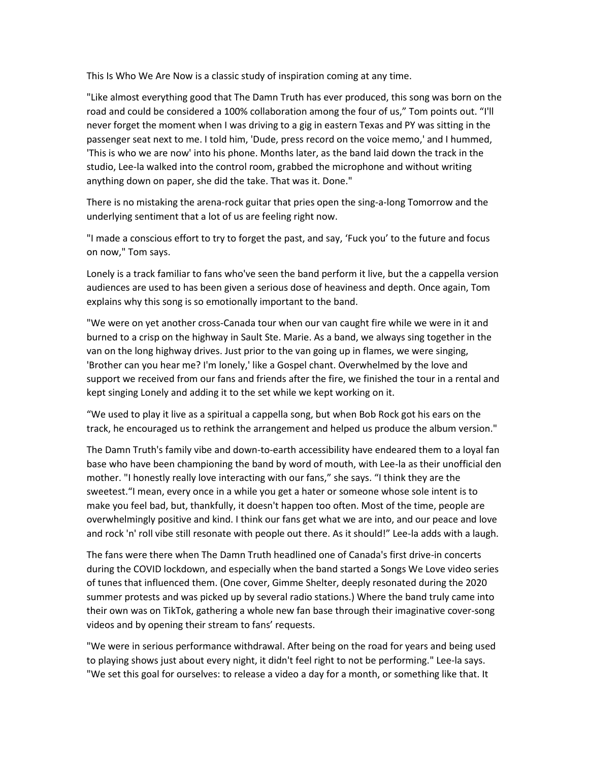This Is Who We Are Now is a classic study of inspiration coming at any time.

"Like almost everything good that The Damn Truth has ever produced, this song was born on the road and could be considered a 100% collaboration among the four of us," Tom points out. "I'll never forget the moment when I was driving to a gig in eastern Texas and PY was sitting in the passenger seat next to me. I told him, 'Dude, press record on the voice memo,' and I hummed, 'This is who we are now' into his phone. Months later, as the band laid down the track in the studio, Lee-la walked into the control room, grabbed the microphone and without writing anything down on paper, she did the take. That was it. Done."

There is no mistaking the arena-rock guitar that pries open the sing-a-long Tomorrow and the underlying sentiment that a lot of us are feeling right now.

"I made a conscious effort to try to forget the past, and say, 'Fuck you' to the future and focus on now," Tom says.

Lonely is a track familiar to fans who've seen the band perform it live, but the a cappella version audiences are used to has been given a serious dose of heaviness and depth. Once again, Tom explains why this song is so emotionally important to the band.

"We were on yet another cross-Canada tour when our van caught fire while we were in it and burned to a crisp on the highway in Sault Ste. Marie. As a band, we always sing together in the van on the long highway drives. Just prior to the van going up in flames, we were singing, 'Brother can you hear me? I'm lonely,' like a Gospel chant. Overwhelmed by the love and support we received from our fans and friends after the fire, we finished the tour in a rental and kept singing Lonely and adding it to the set while we kept working on it.

"We used to play it live as a spiritual a cappella song, but when Bob Rock got his ears on the track, he encouraged us to rethink the arrangement and helped us produce the album version."

The Damn Truth's family vibe and down-to-earth accessibility have endeared them to a loyal fan base who have been championing the band by word of mouth, with Lee-la as their unofficial den mother. "I honestly really love interacting with our fans," she says. "I think they are the sweetest."I mean, every once in a while you get a hater or someone whose sole intent is to make you feel bad, but, thankfully, it doesn't happen too often. Most of the time, people are overwhelmingly positive and kind. I think our fans get what we are into, and our peace and love and rock 'n' roll vibe still resonate with people out there. As it should!" Lee-la adds with a laugh.

The fans were there when The Damn Truth headlined one of Canada's first drive-in concerts during the COVID lockdown, and especially when the band started a Songs We Love video series of tunes that influenced them. (One cover, Gimme Shelter, deeply resonated during the 2020 summer protests and was picked up by several radio stations.) Where the band truly came into their own was on TikTok, gathering a whole new fan base through their imaginative cover-song videos and by opening their stream to fans' requests.

"We were in serious performance withdrawal. After being on the road for years and being used to playing shows just about every night, it didn't feel right to not be performing." Lee-la says. "We set this goal for ourselves: to release a video a day for a month, or something like that. It